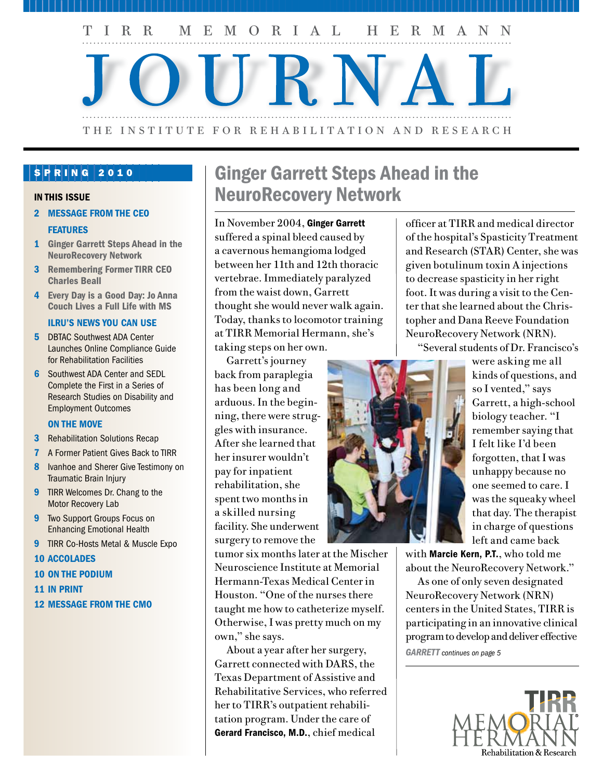

# SPRING 2010

#### IN THIS ISSUE

2 MESSAGE FROM THE CEO

#### **FEATURES**

- 1 Ginger Garrett Steps Ahead in the NeuroRecovery Network
- 3 Remembering Former TIRR CEO Charles Beall
- 4 Every Day is a Good Day: Jo Anna Couch Lives a Full Life with MS

#### ILRU's NEWS YOU CAN USE

- **5** DBTAC Southwest ADA Center Launches Online Compliance Guide for Rehabilitation Facilities
- **6** Southwest ADA Center and SEDL Complete the First in a Series of Research Studies on Disability and Employment Outcomes

#### ON THE MOVE

- **3** Rehabilitation Solutions Recap
- 7 A Former Patient Gives Back to TIRR
- 8 Ivanhoe and Sherer Give Testimony on Traumatic Brain Injury
- **9** TIRR Welcomes Dr. Chang to the Motor Recovery Lab
- **9** Two Support Groups Focus on Enhancing Emotional Health
- **9** TIRR Co-Hosts Metal & Muscle Expo
- 10 ACCOLADES
- 10 ON THE PODIUM
- 11 IN PRINT
- 12 MESSAGE FROM THE CMO

# Ginger Garrett Steps Ahead in the NeuroRecovery Network

In November 2004, Ginger Garrett suffered a spinal bleed caused by a cavernous hemangioma lodged between her 11th and 12th thoracic vertebrae. Immediately paralyzed from the waist down, Garrett thought she would never walk again. Today, thanks to locomotor training at TIRR Memorial Hermann, she's taking steps on her own.

Garrett's journey back from paraplegia has been long and arduous. In the beginning, there were struggles with insurance. After she learned that her insurer wouldn't pay for inpatient rehabilitation, she spent two months in a skilled nursing facility. She underwent surgery to remove the

tumor six months later at the Mischer Neuroscience Institute at Memorial Hermann-Texas Medical Center in Houston. "One of the nurses there taught me how to catheterize myself. Otherwise, I was pretty much on my own," she says.

About a year after her surgery, Garrett connected with DARS, the Texas Department of Assistive and Rehabilitative Services, who referred her to TIRR's outpatient rehabilitation program. Under the care of Gerard Francisco, M.D., chief medical

officer at TIRR and medical director of the hospital's Spasticity Treatment and Research (STAR) Center, she was given botulinum toxin A injections to decrease spasticity in her right foot. It was during a visit to the Center that she learned about the Christopher and Dana Reeve Foundation NeuroRecovery Network (NRN).

"Several students of Dr. Francisco's



were asking me all kinds of questions, and so I vented," says Garrett, a high-school biology teacher. "I remember saying that I felt like I'd been forgotten, that I was unhappy because no one seemed to care. I was the squeaky wheel that day. The therapist in charge of questions left and came back

with Marcie Kern, P.T., who told me about the NeuroRecovery Network."

As one of only seven designated NeuroRecovery Network (NRN) centers in the United States, TIRR is participating in an innovative clinical program to develop and deliver effective

*GARRETT continues on page 5*

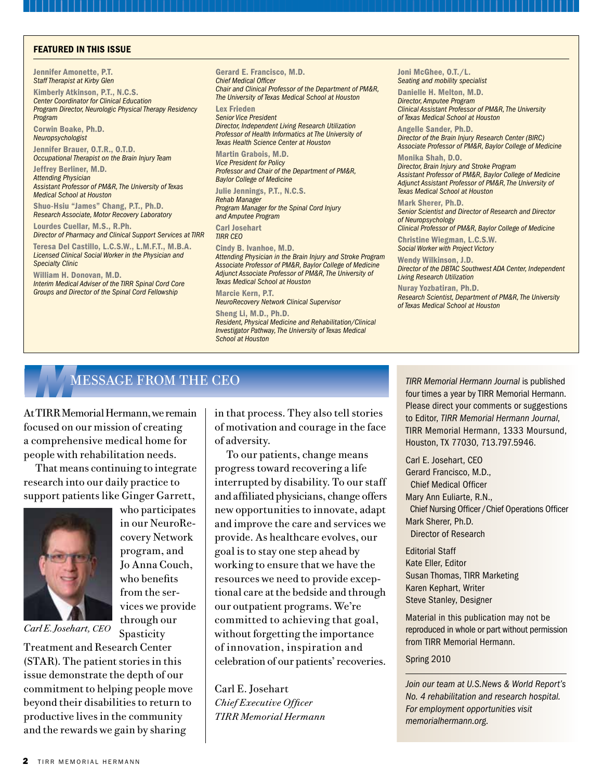#### FEATURED IN THIS ISSUE

Jennifer Amonette, P.T. *Staff Therapist at Kirby Glen*

Kimberly Atkinson, P.T., N.C.S. *Center Coordinator for Clinical Education Program Director, Neurologic Physical Therapy Residency Program* Corwin Boake, Ph.D.

*Neuropsychologist* 

Jennifer Brauer, O.T.R., O.T.D. *Occupational Therapist on the Brain Injury Team*

Jeffrey Berliner, M.D. *Attending Physician Assistant Professor of PM&R, The University of Texas Medical School at Houston*

Shuo-Hsiu "James" Chang, P.T., Ph.D. *Research Associate, Motor Recovery Laboratory* 

Lourdes Cuellar, M.S., R.Ph. *Director of Pharmacy and Clinical Support Services at TIRR*

Teresa Del Castillo, L.C.S.W., L.M.F.T., M.B.A. *Licensed Clinical Social Worker in the Physician and Specialty Clinic* 

William H. Donovan, M.D. *Interim Medical Adviser of the TIRR Spinal Cord Core Groups and Director of the Spinal Cord Fellowship*

Gerard E. Francisco, M.D. *Chief Medical Officer* 

*Chair and Clinical Professor of the Department of PM&R, The University of Texas Medical School at Houston*

Lex Frieden *Senior Vice President Director, Independent Living Research Utilization Professor of Health Informatics at The University of Texas Health Science Center at Houston*

Martin Grabois, M.D. *Vice President for Policy Professor and Chair of the Department of PM&R, Baylor College of Medicine*

Julie Jennings, P.T., N.C.S. *Rehab Manager Program Manager for the Spinal Cord Injury and Amputee Program*

Carl Josehart *TIRR CEO*

Cindy B. Ivanhoe, M.D.

*Attending Physician in the Brain Injury and Stroke Program Associate Professor of PM&R, Baylor College of Medicine Adjunct Associate Professor of PM&R, The University of Texas Medical School at Houston*

Marcie Kern, P.T. *NeuroRecovery Network Clinical Supervisor* 

Sheng Li, M.D., Ph.D. *Resident, Physical Medicine and Rehabilitation/Clinical Investigator Pathway, The University of Texas Medical School at Houston*

Joni McGhee, O.T./L. *Seating and mobility specialist* 

Danielle H. Melton, M.D. *Director, Amputee Program Clinical Assistant Professor of PM&R, The University of Texas Medical School at Houston*

Angelle Sander, Ph.D. *Director of the Brain Injury Research Center (BIRC) Associate Professor of PM&R, Baylor College of Medicine*

Monika Shah, D.O. *Director, Brain Injury and Stroke Program Assistant Professor of PM&R, Baylor College of Medicine Adjunct Assistant Professor of PM&R, The University of Texas Medical School at Houston*

Mark Sherer, Ph.D. *Senior Scientist and Director of Research and Director of Neuropsychology* 

*Clinical Professor of PM&R, Baylor College of Medicine* Christine Wiegman, L.C.S.W.

*Social Worker with Project Victory* 

Wendy Wilkinson, J.D. *Director of the DBTAC Southwest ADA Center, Independent Living Research Utilization*

Nuray Yozbatiran, Ph.D. *Research Scientist, Department of PM&R, The University of Texas Medical School at Houston*

At TIRR Memorial Hermann, we remain focused on our mission of creating a comprehensive medical home for people with rehabilitation needs.

That means continuing to integrate research into our daily practice to support patients like Ginger Garrett,



who participates in our NeuroRecovery Network program, and Jo Anna Couch, who benefits from the services we provide through our Spasticity

*Carl E. Josehart, CEO*

Treatment and Research Center (STAR). The patient stories in this issue demonstrate the depth of our commitment to helping people move beyond their disabilities to return to productive lives in the community and the rewards we gain by sharing

in that process. They also tell stories of motivation and courage in the face of adversity.

To our patients, change means progress toward recovering a life interrupted by disability. To our staff and affiliated physicians, change offers new opportunities to innovate, adapt and improve the care and services we provide. As healthcare evolves, our goal is to stay one step ahead by working to ensure that we have the resources we need to provide exceptional care at the bedside and through our outpatient programs. We're committed to achieving that goal, without forgetting the importance of innovation, inspiration and celebration of our patients' recoveries.

Carl E. Josehart *Chief Executive Officer TIRR Memorial Hermann*

**MESSAGE FROM THE CEO** *TIRR Memorial Hermann Journal* is published *TIRR Memorial Hermann Journal* is published four times a year by TIRR Memorial Hermann. four times a year by TIRR Memorial Hermann. Please direct your comments or suggestions to Editor, *TIRR Memorial Hermann Journal*, TIRR Memorial Hermann, 1333 Moursund, Houston, TX 77030, 713.797.5946.

> Carl E. Josehart, CEO Gerard Francisco, M.D., Chief Medical Officer Mary Ann Euliarte, R.N., Chief Nursing Officer /Chief Operations Officer Mark Sherer, Ph.D. Director of Research

Editorial Staff Kate Eller, Editor Susan Thomas, TIRR Marketing Karen Kephart, Writer Steve Stanley, Designer

Material in this publication may not be reproduced in whole or part without permission from TIRR Memorial Hermann.

#### Spring 2010

*Join our team at U.S.News & World Report's No. 4 rehabilitation and research hospital. For employment opportunities visit memorialhermann.org.*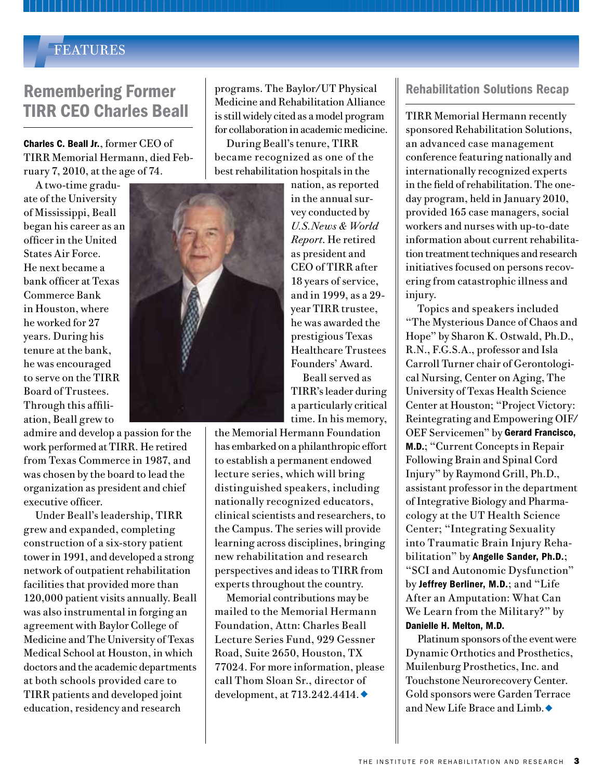### *F*FEATURES

# Remembering Former TIRR CEO Charles Beall

Charles C. Beall Jr., former CEO of TIRR Memorial Hermann, died February 7, 2010, at the age of 74.

A two-time graduate of the University of Mississippi, Beall began his career as an officer in the United States Air Force. He next became a bank officer at Texas Commerce Bank in Houston, where he worked for 27 years. During his tenure at the bank, he was encouraged to serve on the TIRR Board of Trustees. Through this affiliation, Beall grew to

admire and develop a passion for the work performed at TIRR. He retired from Texas Commerce in 1987, and was chosen by the board to lead the organization as president and chief executive officer.

Under Beall's leadership, TIRR grew and expanded, completing construction of a six-story patient tower in 1991, and developed a strong network of outpatient rehabilitation facilities that provided more than 120,000 patient visits annually. Beall was also instrumental in forging an agreement with Baylor College of Medicine and The University of Texas Medical School at Houston, in which doctors and the academic departments at both schools provided care to TIRR patients and developed joint education, residency and research

programs. The Baylor/UT Physical Medicine and Rehabilitation Alliance is still widely cited as a model program for collaboration in academic medicine.

During Beall's tenure, TIRR became recognized as one of the best rehabilitation hospitals in the

> nation, as reported in the annual survey conducted by *U.S.News & World Report*. He retired as president and CEO of TIRR after 18 years of service, and in 1999, as a 29 year TIRR trustee, he was awarded the prestigious Texas Healthcare Trustees Founders' Award.

Beall served as TIRR's leader during a particularly critical time. In his memory,

the Memorial Hermann Foundation has embarked on a philanthropic effort to establish a permanent endowed lecture series, which will bring distinguished speakers, including nationally recognized educators, clinical scientists and researchers, to the Campus. The series will provide learning across disciplines, bringing new rehabilitation and research perspectives and ideas to TIRR from experts throughout the country.

Memorial contributions may be mailed to the Memorial Hermann Foundation, Attn: Charles Beall Lecture Series Fund, 929 Gessner Road, Suite 2650, Houston, TX 77024. For more information, please call Thom Sloan Sr., director of development, at  $713.242.4414.$ 

### Rehabilitation Solutions Recap

TIRR Memorial Hermann recently sponsored Rehabilitation Solutions, an advanced case management conference featuring nationally and internationally recognized experts in the field of rehabilitation. The oneday program, held in January 2010, provided 165 case managers, social workers and nurses with up-to-date information about current rehabilitation treatment techniques and research initiatives focused on persons recovering from catastrophic illness and injury.

Topics and speakers included "The Mysterious Dance of Chaos and Hope" by Sharon K. Ostwald, Ph.D., R.N., F.G.S.A., professor and Isla Carroll Turner chair of Gerontological Nursing, Center on Aging, The University of Texas Health Science Center at Houston; "Project Victory: Reintegrating and Empowering OIF/ OEF Servicemen" by Gerard Francisco, M.D.; "Current Concepts in Repair Following Brain and Spinal Cord Injury" by Raymond Grill, Ph.D., assistant professor in the department of Integrative Biology and Pharmacology at the UT Health Science Center; "Integrating Sexuality into Traumatic Brain Injury Rehabilitation" by Angelle Sander, Ph.D.; "SCI and Autonomic Dysfunction" by Jeffrey Berliner, M.D.; and "Life After an Amputation: What Can We Learn from the Military?" by Danielle H. Melton, M.D.

Platinum sponsors of the event were Dynamic Orthotics and Prosthetics, Muilenburg Prosthetics, Inc. and Touchstone Neurorecovery Center. Gold sponsors were Garden Terrace and New Life Brace and Limb.  $\blacklozenge$ 

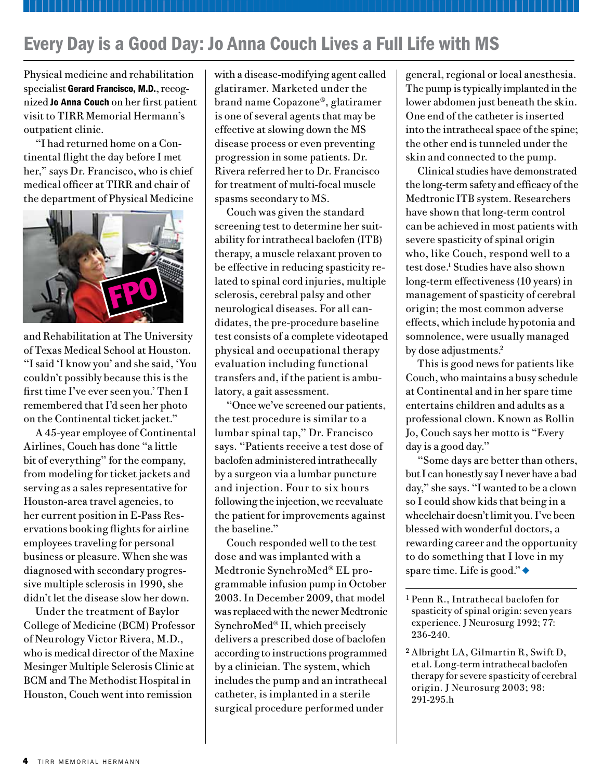# Every Day is a Good Day: Jo Anna Couch Lives a Full Life with MS

Physical medicine and rehabilitation specialist Gerard Francisco, M.D., recognized Jo Anna Couch on her first patient visit to TIRR Memorial Hermann's outpatient clinic.

"I had returned home on a Continental flight the day before I met her," says Dr. Francisco, who is chief medical officer at TIRR and chair of the department of Physical Medicine



and Rehabilitation at The University of Texas Medical School at Houston. "I said 'I know you' and she said, 'You couldn't possibly because this is the first time I've ever seen you.' Then I remembered that I'd seen her photo on the Continental ticket jacket."

A 45-year employee of Continental Airlines, Couch has done "a little bit of everything" for the company, from modeling for ticket jackets and serving as a sales representative for Houston-area travel agencies, to her current position in E-Pass Reservations booking flights for airline employees traveling for personal business or pleasure. When she was diagnosed with secondary progressive multiple sclerosis in 1990, she didn't let the disease slow her down.

Under the treatment of Baylor College of Medicine (BCM) Professor of Neurology Victor Rivera, M.D., who is medical director of the Maxine Mesinger Multiple Sclerosis Clinic at BCM and The Methodist Hospital in Houston, Couch went into remission

with a disease-modifying agent called glatiramer. Marketed under the brand name Copazone®, glatiramer is one of several agents that may be effective at slowing down the MS disease process or even preventing progression in some patients. Dr. Rivera referred her to Dr. Francisco for treatment of multi-focal muscle spasms secondary to MS.

Couch was given the standard screening test to determine her suitability for intrathecal baclofen (ITB) therapy, a muscle relaxant proven to be effective in reducing spasticity related to spinal cord injuries, multiple sclerosis, cerebral palsy and other neurological diseases. For all candidates, the pre-procedure baseline test consists of a complete videotaped physical and occupational therapy evaluation including functional transfers and, if the patient is ambulatory, a gait assessment.

"Once we've screened our patients, the test procedure is similar to a lumbar spinal tap," Dr. Francisco says. "Patients receive a test dose of baclofen administered intrathecally by a surgeon via a lumbar puncture and injection. Four to six hours following the injection, we reevaluate the patient for improvements against the baseline."

Couch responded well to the test dose and was implanted with a Medtronic SynchroMed® EL programmable infusion pump in October 2003. In December 2009, that model was replaced with the newer Medtronic SynchroMed® II, which precisely delivers a prescribed dose of baclofen according to instructions programmed by a clinician. The system, which includes the pump and an intrathecal catheter, is implanted in a sterile surgical procedure performed under

general, regional or local anesthesia. The pump is typically implanted in the lower abdomen just beneath the skin. One end of the catheter is inserted into the intrathecal space of the spine; the other end is tunneled under the skin and connected to the pump.

Clinical studies have demonstrated the long-term safety and efficacy of the Medtronic ITB system. Researchers have shown that long-term control can be achieved in most patients with severe spasticity of spinal origin who, like Couch, respond well to a test dose.1 Studies have also shown long-term effectiveness (10 years) in management of spasticity of cerebral origin; the most common adverse effects, which include hypotonia and somnolence, were usually managed by dose adjustments.<sup>2</sup>

This is good news for patients like Couch, who maintains a busy schedule at Continental and in her spare time entertains children and adults as a professional clown. Known as Rollin Jo, Couch says her motto is "Every day is a good day."

"Some days are better than others, but I can honestly say I never have a bad day," she says. "I wanted to be a clown so I could show kids that being in a wheelchair doesn't limit you. I've been blessed with wonderful doctors, a rewarding career and the opportunity to do something that I love in my spare time. Life is good." $\bullet$ 

<sup>1</sup> Penn R., Intrathecal baclofen for spasticity of spinal origin: seven years experience. J Neurosurg 1992; 77: 236-240.

<sup>2</sup> Albright LA, Gilmartin R, Swift D, et al. Long-term intrathecal baclofen therapy for severe spasticity of cerebral origin. J Neurosurg 2003; 98: 291-295.h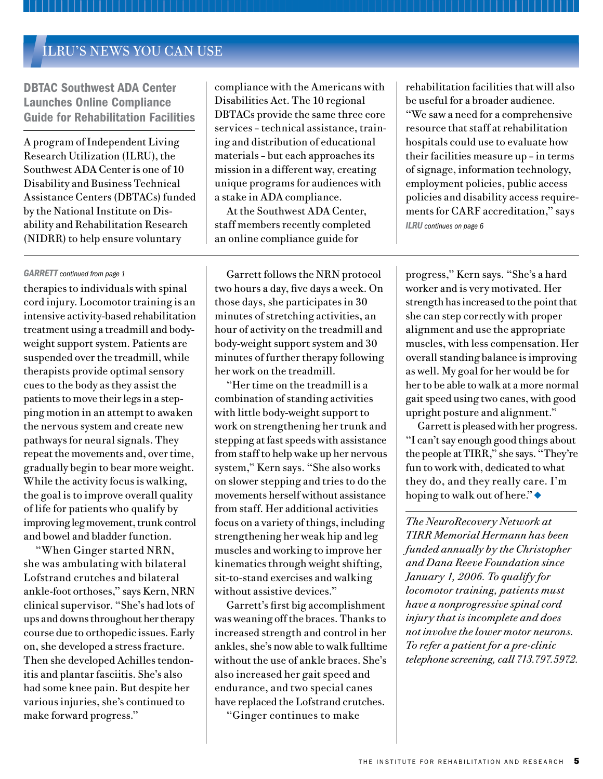### *I*ILRU'S NEWS YOU CAN USE

DBTAC Southwest ADA Center Launches Online Compliance Guide for Rehabilitation Facilities

A program of Independent Living Research Utilization (ILRU), the Southwest ADA Center is one of 10 Disability and Business Technical Assistance Centers (DBTACs) funded by the National Institute on Disability and Rehabilitation Research (NIDRR) to help ensure voluntary

compliance with the Americans with Disabilities Act. The 10 regional DBTACs provide the same three core services – technical assistance, training and distribution of educational materials – but each approaches its mission in a different way, creating unique programs for audiences with a stake in ADA compliance.

At the Southwest ADA Center, staff members recently completed an online compliance guide for

therapies to individuals with spinal cord injury. Locomotor training is an intensive activity-based rehabilitation treatment using a treadmill and bodyweight support system. Patients are suspended over the treadmill, while therapists provide optimal sensory cues to the body as they assist the patients to move their legs in a stepping motion in an attempt to awaken the nervous system and create new pathways for neural signals. They repeat the movements and, over time, gradually begin to bear more weight. While the activity focus is walking, the goal is to improve overall quality of life for patients who qualify by improving leg movement, trunk control and bowel and bladder function.

"When Ginger started NRN, she was ambulating with bilateral Lofstrand crutches and bilateral ankle-foot orthoses," says Kern, NRN clinical supervisor. "She's had lots of ups and downs throughout her therapy course due to orthopedic issues. Early on, she developed a stress fracture. Then she developed Achilles tendonitis and plantar fasciitis. She's also had some knee pain. But despite her various injuries, she's continued to make forward progress."

GARRETT continued from page 1 Garrett follows the NRN protocol two hours a day, five days a week. On those days, she participates in 30 minutes of stretching activities, an hour of activity on the treadmill and body-weight support system and 30 minutes of further therapy following her work on the treadmill.

> "Her time on the treadmill is a combination of standing activities with little body-weight support to work on strengthening her trunk and stepping at fast speeds with assistance from staff to help wake up her nervous system," Kern says. "She also works on slower stepping and tries to do the movements herself without assistance from staff. Her additional activities focus on a variety of things, including strengthening her weak hip and leg muscles and working to improve her kinematics through weight shifting, sit-to-stand exercises and walking without assistive devices."

> Garrett's first big accomplishment was weaning off the braces. Thanks to increased strength and control in her ankles, she's now able to walk fulltime without the use of ankle braces. She's also increased her gait speed and endurance, and two special canes have replaced the Lofstrand crutches.

"Ginger continues to make

rehabilitation facilities that will also be useful for a broader audience.

"We saw a need for a comprehensive resource that staff at rehabilitation hospitals could use to evaluate how their facilities measure up – in terms of signage, information technology, employment policies, public access policies and disability access requirements for CARF accreditation," says *ILRU continues on page 6*

progress," Kern says. "She's a hard worker and is very motivated. Her strength has increased to the point that she can step correctly with proper alignment and use the appropriate muscles, with less compensation. Her overall standing balance is improving as well. My goal for her would be for her to be able to walk at a more normal gait speed using two canes, with good upright posture and alignment."

Garrett is pleased with her progress. "I can't say enough good things about the people at TIRR," she says. "They're fun to work with, dedicated to what they do, and they really care. I'm hoping to walk out of here." $\bullet$ 

*The NeuroRecovery Network at TIRR Memorial Hermann has been funded annually by the Christopher and Dana Reeve Foundation since January 1, 2006. To qualify for locomotor training, patients must have a nonprogressive spinal cord injury that is incomplete and does not involve the lower motor neurons. To refer a patient for a pre-clinic telephone screening, call 713.797.5972.*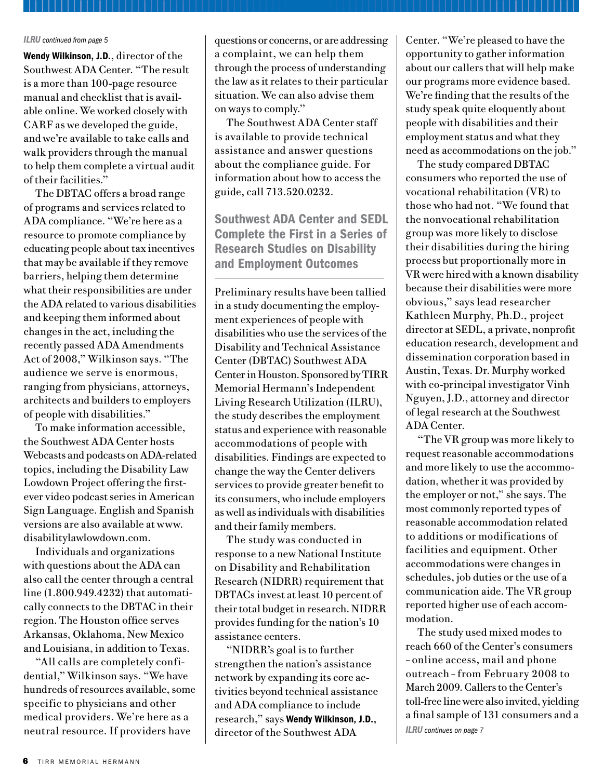#### *ILRU continued from page 5*

Wendy Wilkinson, J.D., director of the Southwest ADA Center. "The result is a more than 100-page resource manual and checklist that is available online. We worked closely with CARF as we developed the guide, and we're available to take calls and walk providers through the manual to help them complete a virtual audit of their facilities."

The DBTAC offers a broad range of programs and services related to ADA compliance. "We're here as a resource to promote compliance by educating people about tax incentives that may be available if they remove barriers, helping them determine what their responsibilities are under the ADA related to various disabilities and keeping them informed about changes in the act, including the recently passed ADA Amendments Act of 2008," Wilkinson says. "The audience we serve is enormous, ranging from physicians, attorneys, architects and builders to employers of people with disabilities."

To make information accessible, the Southwest ADA Center hosts Webcasts and podcasts on ADA-related topics, including the Disability Law Lowdown Project offering the firstever video podcast series in American Sign Language. English and Spanish versions are also available at www. disabilitylawlowdown.com.

Individuals and organizations with questions about the ADA can also call the center through a central line (1.800.949.4232) that automatically connects to the DBTAC in their region. The Houston office serves Arkansas, Oklahoma, New Mexico and Louisiana, in addition to Texas.

"All calls are completely confidential," Wilkinson says. "We have hundreds of resources available, some specific to physicians and other medical providers. We're here as a neutral resource. If providers have

questions or concerns, or are addressing a complaint, we can help them through the process of understanding the law as it relates to their particular situation. We can also advise them on ways to comply."

The Southwest ADA Center staff is available to provide technical assistance and answer questions about the compliance guide. For information about how to access the guide, call 713.520.0232.

Southwest ADA Center and SEDL Complete the First in a Series of Research Studies on Disability and Employment Outcomes

Preliminary results have been tallied in a study documenting the employment experiences of people with disabilities who use the services of the Disability and Technical Assistance Center (DBTAC) Southwest ADA Center in Houston. Sponsored by TIRR Memorial Hermann's Independent Living Research Utilization (ILRU), the study describes the employment status and experience with reasonable accommodations of people with disabilities. Findings are expected to change the way the Center delivers services to provide greater benefit to its consumers, who include employers as well as individuals with disabilities and their family members.

The study was conducted in response to a new National Institute on Disability and Rehabilitation Research (NIDRR) requirement that DBTACs invest at least 10 percent of their total budget in research. NIDRR provides funding for the nation's 10 assistance centers.

"NIDRR's goal is to further strengthen the nation's assistance network by expanding its core activities beyond technical assistance and ADA compliance to include research," says Wendy Wilkinson, J.D., director of the Southwest ADA *ILRU continues on page 7*

Center. "We're pleased to have the opportunity to gather information about our callers that will help make our programs more evidence based. We're finding that the results of the study speak quite eloquently about people with disabilities and their employment status and what they need as accommodations on the job."

The study compared DBTAC consumers who reported the use of vocational rehabilitation (VR) to those who had not. "We found that the nonvocational rehabilitation group was more likely to disclose their disabilities during the hiring process but proportionally more in VR were hired with a known disability because their disabilities were more obvious," says lead researcher Kathleen Murphy, Ph.D., project director at SEDL, a private, nonprofit education research, development and dissemination corporation based in Austin, Texas. Dr. Murphy worked with co-principal investigator Vinh Nguyen, J.D., attorney and director of legal research at the Southwest ADA Center.

"The VR group was more likely to request reasonable accommodations and more likely to use the accommodation, whether it was provided by the employer or not," she says. The most commonly reported types of reasonable accommodation related to additions or modifications of facilities and equipment. Other accommodations were changes in schedules, job duties or the use of a communication aide. The VR group reported higher use of each accommodation.

The study used mixed modes to reach 660 of the Center's consumers – online access, mail and phone outreach – from February 2008 to March 2009. Callers to the Center's toll-free line were also invited, yielding a final sample of 131 consumers and a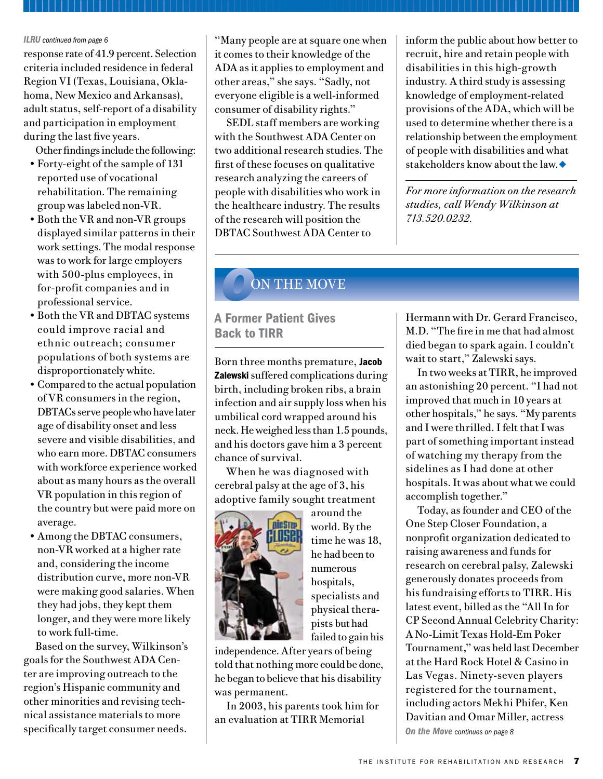#### *ILRU continued from page 6*

response rate of 41.9 percent. Selection criteria included residence in federal Region VI (Texas, Louisiana, Oklahoma, New Mexico and Arkansas), adult status, self-report of a disability and participation in employment during the last five years.

Other findings include the following:

- Forty-eight of the sample of 131 reported use of vocational rehabilitation. The remaining group was labeled non-VR.
- Both the VR and non-VR groups displayed similar patterns in their work settings. The modal response was to work for large employers with 500-plus employees, in for-profit companies and in professional service.
- Both the VR and DBTAC systems could improve racial and ethnic outreach; consumer populations of both systems are disproportionately white.
- Compared to the actual population of VR consumers in the region, DBTACs serve people who have later age of disability onset and less severe and visible disabilities, and who earn more. DBTAC consumers with workforce experience worked about as many hours as the overall VR population in this region of the country but were paid more on average.
- Among the DBTAC consumers, non-VR worked at a higher rate and, considering the income distribution curve, more non-VR were making good salaries. When they had jobs, they kept them longer, and they were more likely to work full-time.

Based on the survey, Wilkinson's goals for the Southwest ADA Center are improving outreach to the region's Hispanic community and other minorities and revising technical assistance materials to more specifically target consumer needs.

"Many people are at square one when it comes to their knowledge of the ADA as it applies to employment and other areas," she says. "Sadly, not everyone eligible is a well-informed consumer of disability rights."

SEDL staff members are working with the Southwest ADA Center on two additional research studies. The first of these focuses on qualitative research analyzing the careers of people with disabilities who work in the healthcare industry. The results of the research will position the DBTAC Southwest ADA Center to

inform the public about how better to recruit, hire and retain people with disabilities in this high-growth industry. A third study is assessing knowledge of employment-related provisions of the ADA, which will be used to determine whether there is a relationship between the employment of people with disabilities and what stakeholders know about the law.  $\bullet$ 

*For more information on the research studies, call Wendy Wilkinson at 713.520.0232.*

## *O*ON THE MOVE

### A Former Patient Gives Back to TIRR

Born three months premature, Jacob **Zalewski** suffered complications during birth, including broken ribs, a brain infection and air supply loss when his umbilical cord wrapped around his neck. He weighed less than 1.5 pounds, and his doctors gave him a 3 percent chance of survival.

When he was diagnosed with cerebral palsy at the age of 3, his adoptive family sought treatment



around the world. By the time he was 18, he had been to numerous hospitals, specialists and physical therapists but had failed to gain his

independence. After years of being told that nothing more could be done, he began to believe that his disability was permanent.

In 2003, his parents took him for an evaluation at TIRR Memorial

Hermann with Dr. Gerard Francisco, M.D. "The fire in me that had almost died began to spark again. I couldn't wait to start," Zalewski says.

In two weeks at TIRR, he improved an astonishing 20 percent. "I had not improved that much in 10 years at other hospitals," he says. "My parents and I were thrilled. I felt that I was part of something important instead of watching my therapy from the sidelines as I had done at other hospitals. It was about what we could accomplish together."

*On the Move continues on page 8* Today, as founder and CEO of the One Step Closer Foundation, a nonprofit organization dedicated to raising awareness and funds for research on cerebral palsy, Zalewski generously donates proceeds from his fundraising efforts to TIRR. His latest event, billed as the "All In for CP Second Annual Celebrity Charity: A No-Limit Texas Hold-Em Poker Tournament," was held last December at the Hard Rock Hotel & Casino in Las Vegas. Ninety-seven players registered for the tournament, including actors Mekhi Phifer, Ken Davitian and Omar Miller, actress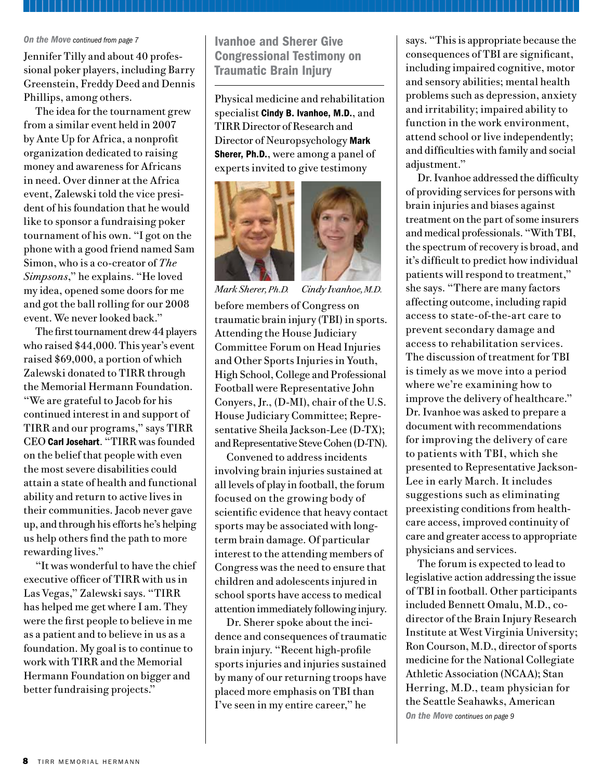#### *On the Move continued from page 7*

Jennifer Tilly and about 40 professional poker players, including Barry Greenstein, Freddy Deed and Dennis Phillips, among others.

The idea for the tournament grew from a similar event held in 2007 by Ante Up for Africa, a nonprofit organization dedicated to raising money and awareness for Africans in need. Over dinner at the Africa event, Zalewski told the vice president of his foundation that he would like to sponsor a fundraising poker tournament of his own. "I got on the phone with a good friend named Sam Simon, who is a co-creator of *The Simpsons*," he explains. "He loved my idea, opened some doors for me and got the ball rolling for our 2008 event. We never looked back."

The first tournament drew 44 players who raised \$44,000. This year's event raised \$69,000, a portion of which Zalewski donated to TIRR through the Memorial Hermann Foundation. "We are grateful to Jacob for his continued interest in and support of TIRR and our programs," says TIRR CEO Carl Josehart. "TIRR was founded on the belief that people with even the most severe disabilities could attain a state of health and functional ability and return to active lives in their communities. Jacob never gave up, and through his efforts he's helping us help others find the path to more rewarding lives."

"It was wonderful to have the chief executive officer of TIRR with us in Las Vegas," Zalewski says. "TIRR has helped me get where I am. They were the first people to believe in me as a patient and to believe in us as a foundation. My goal is to continue to work with TIRR and the Memorial Hermann Foundation on bigger and better fundraising projects."

Ivanhoe and Sherer Give Congressional Testimony on Traumatic Brain Injury

Physical medicine and rehabilitation specialist Cindy B. Ivanhoe, M.D., and TIRR Director of Research and Director of Neuropsychology Mark Sherer, Ph.D., were among a panel of experts invited to give testimony





*Mark Sherer, Ph.D. Cindy Ivanhoe, M.D.*

before members of Congress on traumatic brain injury (TBI) in sports. Attending the House Judiciary Committee Forum on Head Injuries and Other Sports Injuries in Youth, High School, College and Professional Football were Representative John Conyers, Jr., (D-MI), chair of the U.S. House Judiciary Committee; Representative Sheila Jackson-Lee (D-TX); and Representative Steve Cohen (D-TN).

Convened to address incidents involving brain injuries sustained at all levels of play in football, the forum focused on the growing body of scientific evidence that heavy contact sports may be associated with longterm brain damage. Of particular interest to the attending members of Congress was the need to ensure that children and adolescents injured in school sports have access to medical attention immediately following injury.

Dr. Sherer spoke about the incidence and consequences of traumatic brain injury. "Recent high-profile sports injuries and injuries sustained by many of our returning troops have placed more emphasis on TBI than I've seen in my entire career," he

says. "This is appropriate because the consequences of TBI are significant, including impaired cognitive, motor and sensory abilities; mental health problems such as depression, anxiety and irritability; impaired ability to function in the work environment, attend school or live independently; and difficulties with family and social adjustment."

Dr. Ivanhoe addressed the difficulty of providing services for persons with brain injuries and biases against treatment on the part of some insurers and medical professionals. "With TBI, the spectrum of recovery is broad, and it's difficult to predict how individual patients will respond to treatment," she says. "There are many factors affecting outcome, including rapid access to state-of-the-art care to prevent secondary damage and access to rehabilitation services. The discussion of treatment for TBI is timely as we move into a period where we're examining how to improve the delivery of healthcare." Dr. Ivanhoe was asked to prepare a document with recommendations for improving the delivery of care to patients with TBI, which she presented to Representative Jackson-Lee in early March. It includes suggestions such as eliminating preexisting conditions from healthcare access, improved continuity of care and greater access to appropriate physicians and services.

The forum is expected to lead to legislative action addressing the issue of TBI in football. Other participants included Bennett Omalu, M.D., codirector of the Brain Injury Research Institute at West Virginia University; Ron Courson, M.D., director of sports medicine for the National Collegiate Athletic Association (NCAA); Stan Herring, M.D., team physician for the Seattle Seahawks, American *On the Move continues on page 9*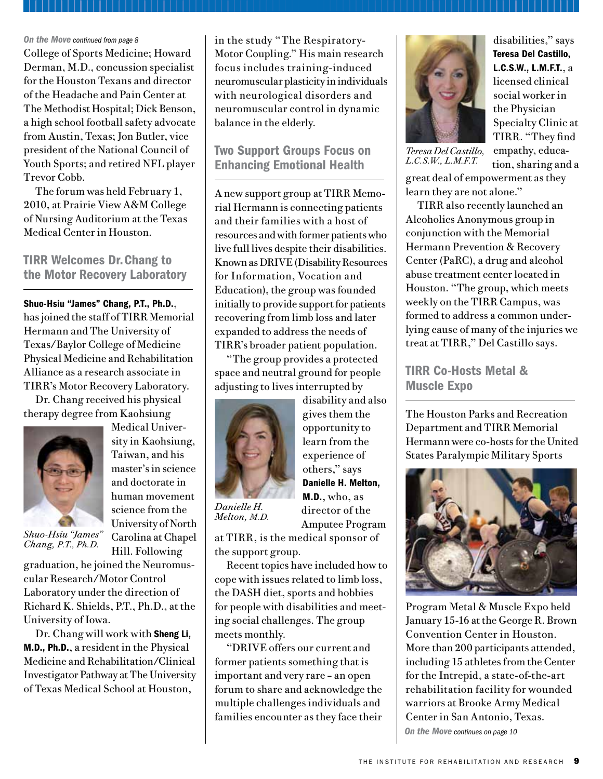#### *On the Move continued from page 8*

College of Sports Medicine; Howard Derman, M.D., concussion specialist for the Houston Texans and director of the Headache and Pain Center at The Methodist Hospital; Dick Benson, a high school football safety advocate from Austin, Texas; Jon Butler, vice president of the National Council of Youth Sports; and retired NFL player Trevor Cobb.

The forum was held February 1, 2010, at Prairie View A&M College of Nursing Auditorium at the Texas Medical Center in Houston.

TIRR Welcomes Dr. Chang to the Motor Recovery Laboratory

Shuo-Hsiu "James" Chang, P.T., Ph.D., has joined the staff of TIRR Memorial Hermann and The University of Texas/Baylor College of Medicine Physical Medicine and Rehabilitation Alliance as a research associate in TIRR's Motor Recovery Laboratory.

Dr. Chang received his physical therapy degree from Kaohsiung



Medical University in Kaohsiung, Taiwan, and his master's in science and doctorate in human movement science from the University of North Carolina at Chapel Hill. Following

*Shuo-Hsiu "James" Chang, P.T., Ph.D.*

graduation, he joined the Neuromuscular Research/Motor Control Laboratory under the direction of Richard K. Shields, P.T., Ph.D., at the University of Iowa.

Dr. Chang will work with Sheng Li, M.D., Ph.D., a resident in the Physical Medicine and Rehabilitation/Clinical Investigator Pathway at The University of Texas Medical School at Houston,

in the study "The Respiratory-Motor Coupling." His main research focus includes training-induced neuromuscular plasticity in individuals with neurological disorders and neuromuscular control in dynamic balance in the elderly.

Two Support Groups Focus on Enhancing Emotional Health

A new support group at TIRR Memorial Hermann is connecting patients and their families with a host of resources and with former patients who live full lives despite their disabilities. Known as DRIVE (Disability Resources for Information, Vocation and Education), the group was founded initially to provide support for patients recovering from limb loss and later expanded to address the needs of TIRR's broader patient population.

"The group provides a protected space and neutral ground for people adjusting to lives interrupted by



*Melton, M.D.*

disability and also gives them the opportunity to learn from the experience of others," says Danielle H. Melton, M.D., who, as director of the Amputee Program

at TIRR, is the medical sponsor of the support group.

Recent topics have included how to cope with issues related to limb loss, the DASH diet, sports and hobbies for people with disabilities and meeting social challenges. The group meets monthly.

"DRIVE offers our current and former patients something that is important and very rare – an open forum to share and acknowledge the multiple challenges individuals and families encounter as they face their



disabilities," says Teresa Del Castillo, L.C.S.W., L.M.F.T., a licensed clinical social worker in the Physician Specialty Clinic at TIRR. "They find empathy, education, sharing and a

*Teresa Del Castillo, L.C.S.W., L.M.F.T.*

great deal of empowerment as they learn they are not alone."

TIRR also recently launched an Alcoholics Anonymous group in conjunction with the Memorial Hermann Prevention & Recovery Center (PaRC), a drug and alcohol abuse treatment center located in Houston. "The group, which meets weekly on the TIRR Campus, was formed to address a common underlying cause of many of the injuries we treat at TIRR," Del Castillo says.

TIRR Co-Hosts Metal & Muscle Expo

The Houston Parks and Recreation Department and TIRR Memorial Hermann were co-hosts for the United States Paralympic Military Sports



*On the Move continues on page 10* Program Metal & Muscle Expo held January 15-16 at the George R. Brown Convention Center in Houston. More than 200 participants attended, including 15 athletes from the Center for the Intrepid, a state-of-the-art rehabilitation facility for wounded warriors at Brooke Army Medical Center in San Antonio, Texas.

THE INSTITUTE FOR REHABILITATION AND RESEARCH 9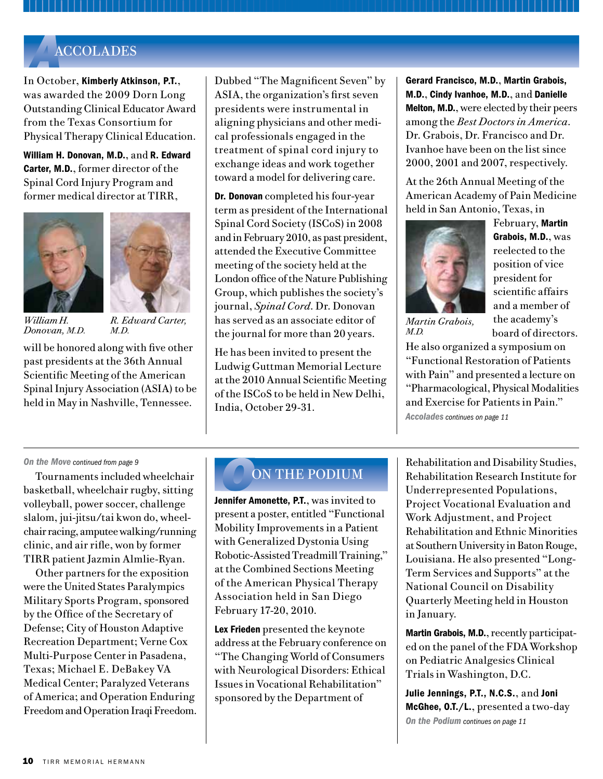### *A*ACCOLADES

In October, Kimberly Atkinson, P.T., was awarded the 2009 Dorn Long Outstanding Clinical Educator Award from the Texas Consortium for Physical Therapy Clinical Education.

William H. Donovan, M.D., and R. Edward Carter, M.D., former director of the Spinal Cord Injury Program and former medical director at TIRR,





*William H. Donovan, M.D.*

*R. Edward Carter, M.D.*

will be honored along with five other past presidents at the 36th Annual Scientific Meeting of the American Spinal Injury Association (ASIA) to be held in May in Nashville, Tennessee.

Dubbed "The Magnificent Seven" by ASIA, the organization's first seven presidents were instrumental in aligning physicians and other medical professionals engaged in the treatment of spinal cord injury to exchange ideas and work together toward a model for delivering care.

**Dr. Donovan** completed his four-year term as president of the International Spinal Cord Society (ISCoS) in 2008 and in February 2010, as past president, attended the Executive Committee meeting of the society held at the London office of the Nature Publishing Group, which publishes the society's journal, *Spinal Cord*. Dr. Donovan has served as an associate editor of the journal for more than 20 years.

He has been invited to present the Ludwig Guttman Memorial Lecture at the 2010 Annual Scientific Meeting of the ISCoS to be held in New Delhi, India, October 29-31.

Gerard Francisco, M.D., Martin Grabois, M.D., Cindy Ivanhoe, M.D., and Danielle Melton, M.D., were elected by their peers among the *Best Doctors in America*. Dr. Grabois, Dr. Francisco and Dr. Ivanhoe have been on the list since 2000, 2001 and 2007, respectively.

At the 26th Annual Meeting of the American Academy of Pain Medicine held in San Antonio, Texas, in



February, Martin Grabois, M.D., was reelected to the position of vice president for scientific affairs and a member of the academy's board of directors.

*Martin Grabois, M.D.* 

He also organized a symposium on "Functional Restoration of Patients with Pain" and presented a lecture on "Pharmacological, Physical Modalities and Exercise for Patients in Pain." *Accolades continues on page 11*

#### *On the Move continued from page 9*

Tournaments included wheelchair basketball, wheelchair rugby, sitting volleyball, power soccer, challenge slalom, jui-jitsu/tai kwon do, wheelchair racing, amputee walking/running clinic, and air rifle, won by former TIRR patient Jazmin Almlie-Ryan.

Other partners for the exposition were the United States Paralympics Military Sports Program, sponsored by the Office of the Secretary of Defense; City of Houston Adaptive Recreation Department; Verne Cox Multi-Purpose Center in Pasadena, Texas; Michael E. DeBakey VA Medical Center; Paralyzed Veterans of America; and Operation Enduring Freedom and Operation Iraqi Freedom.

## *O*ON THE PODIUM

Jennifer Amonette, P.T., was invited to present a poster, entitled "Functional Mobility Improvements in a Patient with Generalized Dystonia Using Robotic-Assisted Treadmill Training," at the Combined Sections Meeting of the American Physical Therapy Association held in San Diego February 17-20, 2010.

Lex Frieden presented the keynote address at the February conference on "The Changing World of Consumers with Neurological Disorders: Ethical Issues in Vocational Rehabilitation" sponsored by the Department of

Rehabilitation and Disability Studies, Rehabilitation Research Institute for Underrepresented Populations, Project Vocational Evaluation and Work Adjustment, and Project Rehabilitation and Ethnic Minorities at Southern University in Baton Rouge, Louisiana. He also presented "Long-Term Services and Supports" at the National Council on Disability Quarterly Meeting held in Houston in January.

Martin Grabois, M.D., recently participated on the panel of the FDA Workshop on Pediatric Analgesics Clinical Trials in Washington, D.C.

Julie Jennings, P.T., N.C.S., and Joni McGhee, O.T./L., presented a two-day *On the Podium continues on page 11*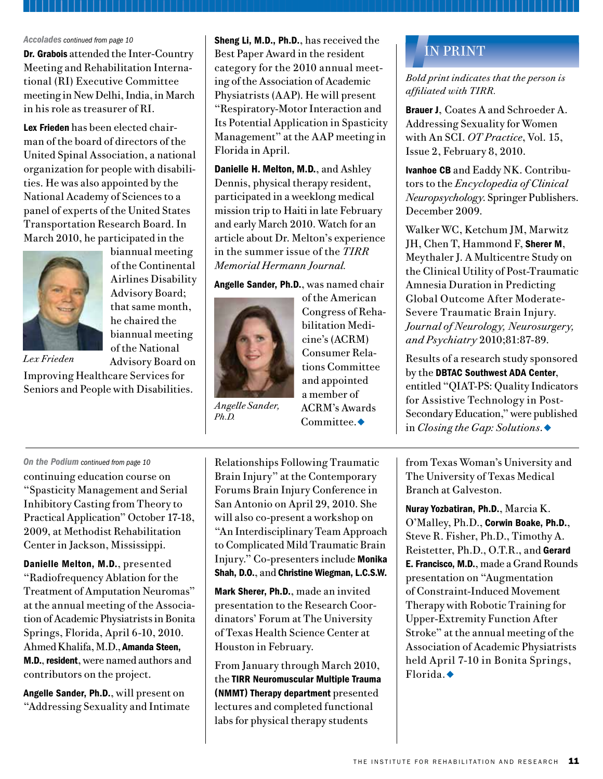#### *Accolades continued from page 10*

Dr. Grabois attended the Inter-Country Meeting and Rehabilitation International (RI) Executive Committee meeting in New Delhi, India, in March in his role as treasurer of RI.

Lex Frieden has been elected chairman of the board of directors of the United Spinal Association, a national organization for people with disabilities. He was also appointed by the National Academy of Sciences to a panel of experts of the United States Transportation Research Board. In March 2010, he participated in the



biannual meeting of the Continental Airlines Disability Advisory Board; that same month, he chaired the biannual meeting of the National Advisory Board on

*Lex Frieden*

Improving Healthcare Services for Seniors and People with Disabilities. Sheng Li, M.D., Ph.D., has received the Best Paper Award in the resident category for the 2010 annual meeting of the Association of Academic Physiatrists (AAP). He will present "Respiratory-Motor Interaction and Its Potential Application in Spasticity Management" at the AAP meeting in Florida in April.

Danielle H. Melton, M.D., and Ashley Dennis, physical therapy resident, participated in a weeklong medical mission trip to Haiti in late February and early March 2010. Watch for an article about Dr. Melton's experience in the summer issue of the *TIRR Memorial Hermann Journal.*

#### Angelle Sander, Ph.D., was named chair



*Angelle Sander, Ph.D.*

of the American Congress of Rehabilitation Medicine's (ACRM) Consumer Relations Committee and appointed a member of ACRM's Awards Committee. $\blacklozenge$ 

*On the Podium continued from page 10* continuing education course on "Spasticity Management and Serial Inhibitory Casting from Theory to Practical Application" October 17-18, 2009, at Methodist Rehabilitation Center in Jackson, Mississippi.

Danielle Melton, M.D., presented "Radiofrequency Ablation for the Treatment of Amputation Neuromas" at the annual meeting of the Association of Academic Physiatrists in Bonita Springs, Florida, April 6-10, 2010. Ahmed Khalifa, M.D., Amanda Steen, M.D., resident, were named authors and contributors on the project.

Angelle Sander, Ph.D., will present on "Addressing Sexuality and Intimate

Relationships Following Traumatic Brain Injury" at the Contemporary Forums Brain Injury Conference in San Antonio on April 29, 2010. She will also co-present a workshop on "An Interdisciplinary Team Approach to Complicated Mild Traumatic Brain Injury." Co-presenters include Monika Shah, D.O., and Christine Wiegman, L.C.S.W.

Mark Sherer, Ph.D., made an invited presentation to the Research Coordinators' Forum at The University of Texas Health Science Center at Houston in February.

From January through March 2010, the TIRR Neuromuscular Multiple Trauma (NMMT) Therapy department presented lectures and completed functional labs for physical therapy students

# *I*IN PRINT

*Bold print indicates that the person is affiliated with TIRR.*

Brauer J, Coates A and Schroeder A. Addressing Sexuality for Women with An SCI. *OT Practice*, Vol. 15, Issue 2, February 8, 2010.

Ivanhoe CB and Eaddy NK. Contributors to the *Encyclopedia of Clinical Neuropsychology*. Springer Publishers. December 2009.

Walker WC, Ketchum JM, Marwitz JH, Chen T, Hammond F, Sherer M, Meythaler J. A Multicentre Study on the Clinical Utility of Post-Traumatic Amnesia Duration in Predicting Global Outcome After Moderate-Severe Traumatic Brain Injury. *Journal of Neurology, Neurosurgery, and Psychiatry* 2010;81:87-89.

Results of a research study sponsored by the DBTAC Southwest ADA Center, entitled "QIAT-PS: Quality Indicators for Assistive Technology in Post-Secondary Education," were published in *Closing the Gap: Solutions.* ◆

from Texas Woman's University and The University of Texas Medical Branch at Galveston.

Nuray Yozbatiran, Ph.D., Marcia K. O'Malley, Ph.D., Corwin Boake, Ph.D., Steve R. Fisher, Ph.D., Timothy A. Reistetter, Ph.D., O.T.R., and Gerard E. Francisco, M.D., made a Grand Rounds presentation on "Augmentation of Constraint-Induced Movement Therapy with Robotic Training for Upper-Extremity Function After Stroke" at the annual meeting of the Association of Academic Physiatrists held April 7-10 in Bonita Springs, Florida. $\bullet$